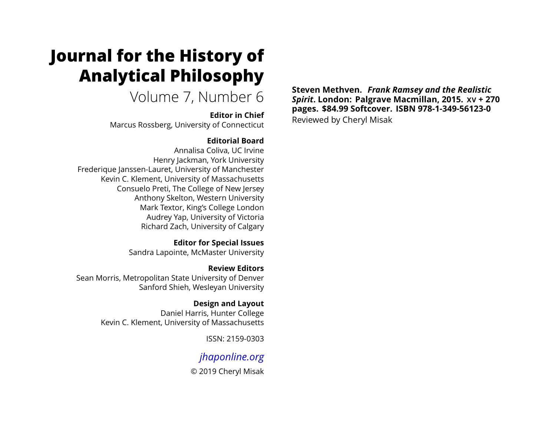# **Journal for the History of Analytical Philosophy**

Volume 7, Number 6

**Editor in Chief**

Marcus Rossberg, University of Connecticut

### **Editorial Board**

Annalisa Coliva, UC Irvine Henry Jackman, York University Frederique Janssen-Lauret, University of Manchester Kevin C. Klement, University of Massachusetts Consuelo Preti, The College of New Jersey Anthony Skelton, Western University Mark Textor, King's College London Audrey Yap, University of Victoria Richard Zach, University of Calgary

> **Editor for Special Issues** Sandra Lapointe, McMaster University

**Review Editors** Sean Morris, Metropolitan State University of Denver Sanford Shieh, Wesleyan University

> **Design and Layout** Daniel Harris, Hunter College Kevin C. Klement, University of Massachusetts

> > ISSN: 2159-0303

## *[jhaponline.org](https://jhaponline.org)*

© 2019 Cheryl Misak

**Steven Methven.** *Frank Ramsey and the Realistic Spirit***. London: Palgrave Macmillan, 2015. XV + 270 pages. \$84.99 Softcover. ISBN 978-1-349-56123-0** Reviewed by Cheryl Misak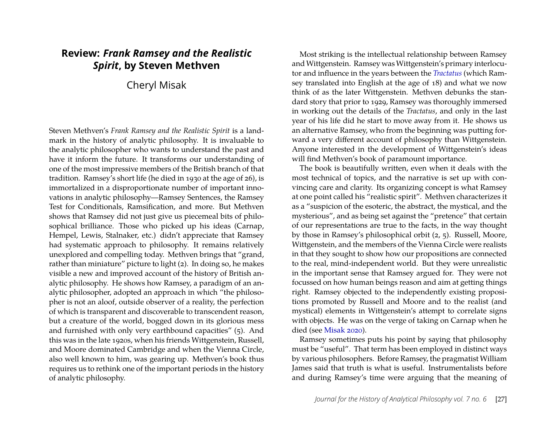## **Review:** *Frank Ramsey and the Realistic Spirit***, by Steven Methven**

Cheryl Misak

Steven Methven's *Frank Ramsey and the Realistic Spirit* is a landmark in the history of analytic philosophy. It is invaluable to the analytic philosopher who wants to understand the past and have it inform the future. It transforms our understanding of one of the most impressive members of the British branch of that tradition. Ramsey's short life (he died in 1930 at the age of 26), is immortalized in a disproportionate number of important innovations in analytic philosophy—Ramsey Sentences, the Ramsey Test for Conditionals, Ramsification, and more. But Methven shows that Ramsey did not just give us piecemeal bits of philosophical brilliance. Those who picked up his ideas (Carnap, Hempel, Lewis, Stalnaker, etc.) didn't appreciate that Ramsey had systematic approach to philosophy. It remains relatively unexplored and compelling today. Methven brings that "grand, rather than miniature" picture to light (2). In doing so, he makes visible a new and improved account of the history of British analytic philosophy. He shows how Ramsey, a paradigm of an analytic philosopher, adopted an approach in which "the philosopher is not an aloof, outside observer of a reality, the perfection of which is transparent and discoverable to transcendent reason, but a creature of the world, bogged down in its glorious mess and furnished with only very earthbound capacities" (5). And this was in the late 1920s, when his friends Wittgenstein, Russell, and Moore dominated Cambridge and when the Vienna Circle, also well known to him, was gearing up. Methven's book thus requires us to rethink one of the important periods in the history of analytic philosophy.

Most striking is the intellectual relationship between Ramsey and Wittgenstein. Ramsey was Wittgenstein's primary interlocutor and influence in the years between the *[Tractatus](#page-7-0)* (which Ramsey translated into English at the age of 18) and what we now think of as the later Wittgenstein. Methven debunks the standard story that prior to 1929, Ramsey was thoroughly immersed in working out the details of the *Tractatus*, and only in the last year of his life did he start to move away from it. He shows us an alternative Ramsey, who from the beginning was putting forward a very different account of philosophy than Wittgenstein. Anyone interested in the development of Wittgenstein's ideas will find Methven's book of paramount importance.

The book is beautifully written, even when it deals with the most technical of topics, and the narrative is set up with convincing care and clarity. Its organizing concept is what Ramsey at one point called his "realistic spirit". Methven characterizes it as a "suspicion of the esoteric, the abstract, the mystical, and the mysterious", and as being set against the "pretence" that certain of our representations are true to the facts, in the way thought by those in Ramsey's philosophical orbit (2, 5). Russell, Moore, Wittgenstein, and the members of the Vienna Circle were realists in that they sought to show how our propositions are connected to the real, mind-independent world. But they were unrealistic in the important sense that Ramsey argued for. They were not focussed on how human beings reason and aim at getting things right. Ramsey objected to the independently existing propositions promoted by Russell and Moore and to the realist (and mystical) elements in Wittgenstein's attempt to correlate signs with objects. He was on the verge of taking on Carnap when he died (see [Misak 2020\)](#page-7-1).

Ramsey sometimes puts his point by saying that philosophy must be "useful". That term has been employed in distinct ways by various philosophers. Before Ramsey, the pragmatist William James said that truth is what is useful. Instrumentalists before and during Ramsey's time were arguing that the meaning of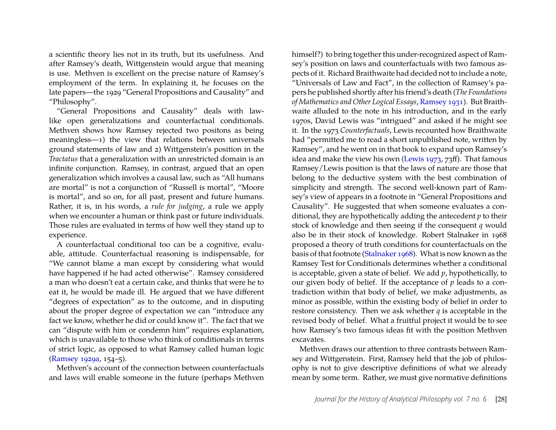a scientific theory lies not in its truth, but its usefulness. And after Ramsey's death, Wittgenstein would argue that meaning is use. Methven is excellent on the precise nature of Ramsey's employment of the term. In explaining it, he focuses on the late papers—the 1929 "General Propositions and Causality" and "Philosophy".

"General Propositions and Causality" deals with lawlike open generalizations and counterfactual conditionals. Methven shows how Ramsey rejected two positons as being meaningless—1) the view that relations between universals ground statements of law and 2) Wittgenstein's position in the *Tractatus* that a generalization with an unrestricted domain is an infinite conjunction. Ramsey, in contrast, argued that an open generalization which involves a causal law, such as "All humans are mortal" is not a conjunction of "Russell is mortal", "Moore is mortal", and so on, for all past, present and future humans. Rather, it is, in his words, a *rule for judging*, a rule we apply when we encounter a human or think past or future individuals. Those rules are evaluated in terms of how well they stand up to experience.

A counterfactual conditional too can be a cognitive, evaluable, attitude. Counterfactual reasoning is indispensable, for "We cannot blame a man except by considering what would have happened if he had acted otherwise". Ramsey considered a man who doesn't eat a certain cake, and thinks that were he to eat it, he would be made ill. He argued that we have different "degrees of expectation" as to the outcome, and in disputing about the proper degree of expectation we can "introduce any fact we know, whether he did or could know it". The fact that we can "dispute with him or condemn him" requires explanation, which is unavailable to those who think of conditionals in terms of strict logic, as opposed to what Ramsey called human logic [\(Ramsey 1929a,](#page-7-2) 154–5).

Methven's account of the connection between counterfactuals and laws will enable someone in the future (perhaps Methven

himself?) to bring together this under-recognized aspect of Ramsey's position on laws and counterfactuals with two famous aspects of it. Richard Braithwaite had decided not to include a note, "Universals of Law and Fact", in the collection of Ramsey's papers he published shortly after his friend's death (*The Foundations of Mathematics and Other Logical Essays*, [Ramsey 1931\)](#page-7-3). But Braithwaite alluded to the note in his introduction, and in the early 1970s, David Lewis was "intrigued" and asked if he might see it. In the 1973 *Counterfactuals*, Lewis recounted how Braithwaite had "permitted me to read a short unpublished note, written by Ramsey", and he went on in that book to expand upon Ramsey's idea and make the view his own [\(Lewis 1973,](#page-7-4) 73ff). That famous Ramsey/Lewis position is that the laws of nature are those that belong to the deductive system with the best combination of simplicity and strength. The second well-known part of Ramsey's view of appears in a footnote in "General Propositions and Causality". He suggested that when someone evaluates a conditional, they are hypothetically adding the antecedent *p* to their stock of knowledge and then seeing if the consequent *q* would also be in their stock of knowledge. Robert Stalnaker in 1968 proposed a theory of truth conditions for counterfactuals on the basis of that footnote [\(Stalnaker 1968\)](#page-7-5). What is now known as the Ramsey Test for Conditionals determines whether a conditional is acceptable, given a state of belief. We add *p*, hypothetically, to our given body of belief. If the acceptance of *p* leads to a contradiction within that body of belief, we make adjustments, as minor as possible, within the existing body of belief in order to restore consistency. Then we ask whether *q* is acceptable in the revised body of belief. What a fruitful project it would be to see how Ramsey's two famous ideas fit with the position Methven excavates.

Methven draws our attention to three contrasts between Ramsey and Wittgenstein. First, Ramsey held that the job of philosophy is not to give descriptive definitions of what we already mean by some term. Rather, we must give normative definitions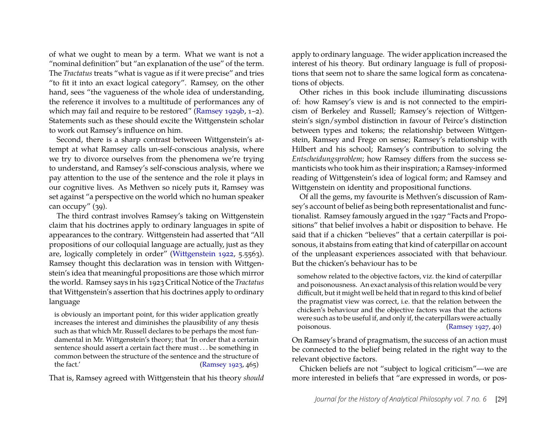of what we ought to mean by a term. What we want is not a "nominal definition" but "an explanation of the use" of the term. The *Tractatus* treats "what is vague as if it were precise" and tries "to fit it into an exact logical category". Ramsey, on the other hand, sees "the vagueness of the whole idea of understanding, the reference it involves to a multitude of performances any of which may fail and require to be restored" [\(Ramsey 1929b,](#page-7-6) 1–2). Statements such as these should excite the Wittgenstein scholar to work out Ramsey's influence on him.

Second, there is a sharp contrast between Wittgenstein's attempt at what Ramsey calls un-self-conscious analysis, where we try to divorce ourselves from the phenomena we're trying to understand, and Ramsey's self-conscious analysis, where we pay attention to the use of the sentence and the role it plays in our cognitive lives. As Methven so nicely puts it, Ramsey was set against "a perspective on the world which no human speaker can occupy" (39).

The third contrast involves Ramsey's taking on Wittgenstein claim that his doctrines apply to ordinary languages in spite of appearances to the contrary. Wittgenstein had asserted that "All propositions of our colloquial language are actually, just as they are, logically completely in order" [\(Wittgenstein 1922,](#page-7-0) 5.5563). Ramsey thought this declaration was in tension with Wittgenstein's idea that meaningful propositions are those which mirror the world. Ramsey says in his 1923 Critical Notice of the *Tractatus* that Wittgenstein's assertion that his doctrines apply to ordinary language

is obviously an important point, for this wider application greatly increases the interest and diminishes the plausibility of any thesis such as that which Mr. Russell declares to be perhaps the most fundamental in Mr. Wittgenstein's theory; that 'In order that a certain sentence should assert a certain fact there must . . . be something in common between the structure of the sentence and the structure of the fact.' [\(Ramsey 1923,](#page-7-7) 465)

That is, Ramsey agreed with Wittgenstein that his theory *should*

apply to ordinary language. The wider application increased the interest of his theory. But ordinary language is full of propositions that seem not to share the same logical form as concatenations of objects.

Other riches in this book include illuminating discussions of: how Ramsey's view is and is not connected to the empiricism of Berkeley and Russell; Ramsey's rejection of Wittgenstein's sign/symbol distinction in favour of Peirce's distinction between types and tokens; the relationship between Wittgenstein, Ramsey and Frege on sense; Ramsey's relationship with Hilbert and his school; Ramsey's contribution to solving the *Entscheidungsproblem*; how Ramsey differs from the success semanticists who took him as their inspiration; a Ramsey-informed reading of Wittgenstein's idea of logical form; and Ramsey and Wittgenstein on identity and propositional functions.

Of all the gems, my favourite is Methven's discussion of Ramsey's account of belief as being both representationalist and functionalist. Ramsey famously argued in the 1927 "Facts and Propositions" that belief involves a habit or disposition to behave. He said that if a chicken "believes" that a certain caterpillar is poisonous, it abstains from eating that kind of caterpillar on account of the unpleasant experiences associated with that behaviour. But the chicken's behaviour has to be

somehow related to the objective factors, viz. the kind of caterpillar and poisonousness. An exact analysis of this relation would be very difficult, but it might well be held that in regard to this kind of belief the pragmatist view was correct, i.e. that the relation between the chicken's behaviour and the objective factors was that the actions were such as to be useful if, and only if, the caterpillars were actually poisonous. [\(Ramsey 1927,](#page-7-8) 40)

On Ramsey's brand of pragmatism, the success of an action must be connected to the belief being related in the right way to the relevant objective factors.

Chicken beliefs are not "subject to logical criticism"—we are more interested in beliefs that "are expressed in words, or pos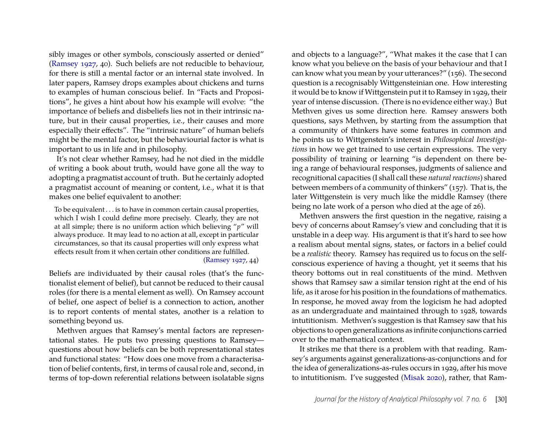sibly images or other symbols, consciously asserted or denied" [\(Ramsey 1927,](#page-7-8) 40). Such beliefs are not reducible to behaviour, for there is still a mental factor or an internal state involved. In later papers, Ramsey drops examples about chickens and turns to examples of human conscious belief. In "Facts and Propositions", he gives a hint about how his example will evolve: "the importance of beliefs and disbeliefs lies not in their intrinsic nature, but in their causal properties, i.e., their causes and more especially their effects". The "intrinsic nature" of human beliefs might be the mental factor, but the behaviourial factor is what is important to us in life and in philosophy.

It's not clear whether Ramsey, had he not died in the middle of writing a book about truth, would have gone all the way to adopting a pragmatist account of truth. But he certainly adopted a pragmatist account of meaning or content, i.e., what it is that makes one belief equivalent to another:

To be equivalent . . . is to have in common certain causal properties, which  $\overline{I}$  wish I could define more precisely. Clearly, they are not at all simple; there is no uniform action which believing "*p*" will always produce. It may lead to no action at all, except in particular circumstances, so that its causal properties will only express what effects result from it when certain other conditions are fulfilled.

#### [\(Ramsey 1927,](#page-7-8) 44)

Beliefs are individuated by their causal roles (that's the functionalist element of belief), but cannot be reduced to their causal roles (for there is a mental element as well). On Ramsey account of belief, one aspect of belief is a connection to action, another is to report contents of mental states, another is a relation to something beyond us.

Methven argues that Ramsey's mental factors are representational states. He puts two pressing questions to Ramsey questions about how beliefs can be both representational states and functional states: "How does one move from a characterisation of belief contents, first, in terms of causal role and, second, in terms of top-down referential relations between isolatable signs

and objects to a language?", "What makes it the case that I can know what you believe on the basis of your behaviour and that I can know what you mean by your utterances?" (156). The second question is a recognisably Wittgensteinian one. How interesting it would be to know if Wittgenstein put it to Ramsey in 1929, their year of intense discussion. (There is no evidence either way.) But Methven gives us some direction here. Ramsey answers both questions, says Methven, by starting from the assumption that a community of thinkers have some features in common and he points us to Wittgenstein's interest in *Philosophical Investigations* in how we get trained to use certain expressions. The very possibility of training or learning "is dependent on there being a range of behavioural responses, judgments of salience and recognitional capacities (I shall call these *natural reactions*) shared between members of a community of thinkers" (157). That is, the later Wittgenstein is very much like the middle Ramsey (there being no late work of a person who died at the age of 26).

Methven answers the first question in the negative, raising a bevy of concerns about Ramsey's view and concluding that it is unstable in a deep way. His argument is that it's hard to see how a realism about mental signs, states, or factors in a belief could be a *realistic* theory. Ramsey has required us to focus on the selfconscious experience of having a thought, yet it seems that his theory bottoms out in real constituents of the mind. Methven shows that Ramsey saw a similar tension right at the end of his life, as it arose for his position in the foundations of mathematics. In response, he moved away from the logicism he had adopted as an undergraduate and maintained through to 1928, towards intutitionism. Methven's suggestion is that Ramsey saw that his objections to open generalizations as infinite conjunctions carried over to the mathematical context.

It strikes me that there is a problem with that reading. Ramsey's arguments against generalizations-as-conjunctions and for the idea of generalizations-as-rules occurs in 1929, after his move to intutitionism. I've suggested [\(Misak 2020\)](#page-7-1), rather, that Ram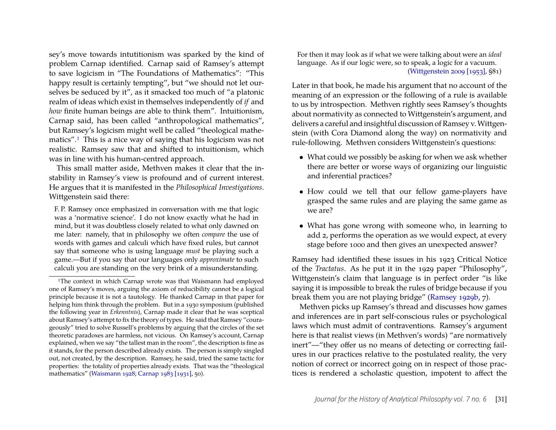sey's move towards intutitionism was sparked by the kind of problem Carnap identified. Carnap said of Ramsey's attempt to save logicism in "The Foundations of Mathematics": "This happy result is certainly tempting", but "we should not let ourselves be seduced by it", as it smacked too much of "a platonic realm of ideas which exist in themselves independently of *if* and *how* finite human beings are able to think them". Intuitionism, Carnap said, has been called "anthropological mathematics", but Ramsey's logicism might well be called "theological mathematics".[1](#page-5-0) This is a nice way of saying that his logicism was not realistic. Ramsey saw that and shifted to intuitionism, which was in line with his human-centred approach.

This small matter aside, Methven makes it clear that the instability in Ramsey's view is profound and of current interest. He argues that it is manifested in the *Philosophical Investigations*. Wittgenstein said there:

F. P. Ramsey once emphasized in conversation with me that logic was a 'normative science'. I do not know exactly what he had in mind, but it was doubtless closely related to what only dawned on me later: namely, that in philosophy we often *compare* the use of words with games and calculi which have fixed rules, but cannot say that someone who is using language *must* be playing such a game.—But if you say that our languages only *approximate* to such calculi you are standing on the very brink of a misunderstanding.

For then it may look as if what we were talking about were an *ideal* language. As if our logic were, so to speak, a logic for a vacuum. [\(Wittgenstein 2009 \[1953\],](#page-7-11) §81)

Later in that book, he made his argument that no account of the meaning of an expression or the following of a rule is available to us by introspection. Methven rightly sees Ramsey's thoughts about normativity as connected to Wittgenstein's argument, and delivers a careful and insightful discussion of Ramsey v. Wittgenstein (with Cora Diamond along the way) on normativity and rule-following. Methven considers Wittgenstein's questions:

- What could we possibly be asking for when we ask whether there are better or worse ways of organizing our linguistic and inferential practices?
- How could we tell that our fellow game-players have grasped the same rules and are playing the same game as we are?
- What has gone wrong with someone who, in learning to add 2, performs the operation as we would expect, at every stage before 1000 and then gives an unexpected answer?

Ramsey had identified these issues in his 1923 Critical Notice of the *Tractatus*. As he put it in the 1929 paper "Philosophy", Wittgenstein's claim that language is in perfect order "is like saying it is impossible to break the rules of bridge because if you break them you are not playing bridge" [\(Ramsey 1929b,](#page-7-6) 7).

Methven picks up Ramsey's thread and discusses how games and inferences are in part self-conscious rules or psychological laws which must admit of contraventions. Ramsey's argument here is that realist views (in Methven's words) "are normatively inert"—"they offer us no means of detecting or correcting failures in our practices relative to the postulated reality, the very notion of correct or incorrect going on in respect of those practices is rendered a scholastic question, impotent to affect the

<span id="page-5-0"></span><sup>&</sup>lt;sup>1</sup>The context in which Carnap wrote was that Waismann had employed one of Ramsey's moves, arguing the axiom of reducibility cannot be a logical principle because it is not a tautology. He thanked Carnap in that paper for helping him think through the problem. But in a 1930 symposium (published the following year in *Erkenntnis*), Carnap made it clear that he was sceptical about Ramsey's attempt to fix the theory of types. He said that Ramsey "courageously" tried to solve Russell's problems by arguing that the circles of the set theoretic paradoxes are harmless, not vicious. On Ramsey's account, Carnap explained, when we say "the tallest man in the room", the description is fine as it stands, for the person described already exists. The person is simply singled out, not created, by the description. Ramsey, he said, tried the same tactic for properties: the totality of properties already exists. That was the "theological mathematics" [\(Waismann 1928;](#page-7-9) [Carnap 1983 \[1931\],](#page-7-10) 50).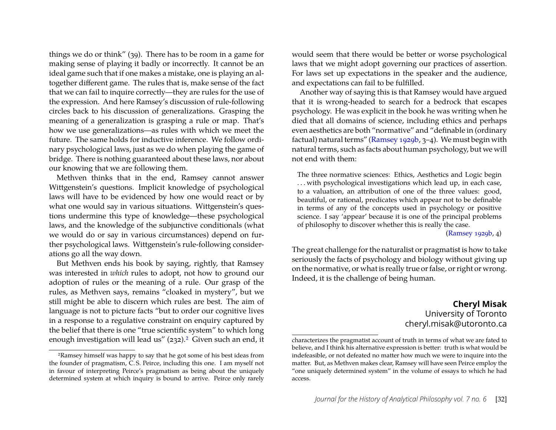things we do or think" (39). There has to be room in a game for making sense of playing it badly or incorrectly. It cannot be an ideal game such that if one makes a mistake, one is playing an altogether different game. The rules that is, make sense of the fact that we can fail to inquire correctly—they are rules for the use of the expression. And here Ramsey's discussion of rule-following circles back to his discussion of generalizations. Grasping the meaning of a generalization is grasping a rule or map. That's how we use generalizations—as rules with which we meet the future. The same holds for inductive inference. We follow ordinary psychological laws, just as we do when playing the game of bridge. There is nothing guaranteed about these laws, nor about our knowing that we are following them.

Methven thinks that in the end, Ramsey cannot answer Wittgenstein's questions. Implicit knowledge of psychological laws will have to be evidenced by how one would react or by what one would say in various situations. Wittgenstein's questions undermine this type of knowledge—these psychological laws, and the knowledge of the subjunctive conditionals (what we would do or say in various circumstances) depend on further psychological laws. Wittgenstein's rule-following considerations go all the way down.

But Methven ends his book by saying, rightly, that Ramsey was interested in *which* rules to adopt, not how to ground our adoption of rules or the meaning of a rule. Our grasp of the rules, as Methven says, remains "cloaked in mystery", but we still might be able to discern which rules are best. The aim of language is not to picture facts "but to order our cognitive lives in a response to a regulative constraint on enquiry captured by the belief that there is one "true scientific system" to which long enough investigation will lead us" ([2](#page-6-0)32).<sup>2</sup> Given such an end, it would seem that there would be better or worse psychological laws that we might adopt governing our practices of assertion. For laws set up expectations in the speaker and the audience, and expectations can fail to be fulfilled.

Another way of saying this is that Ramsey would have argued that it is wrong-headed to search for a bedrock that escapes psychology. He was explicit in the book he was writing when he died that all domains of science, including ethics and perhaps even aesthetics are both "normative" and "definable in (ordinary factual) natural terms" [\(Ramsey 1929b,](#page-7-6) 3–4). We must begin with natural terms, such as facts about human psychology, but we will not end with them:

The three normative sciences: Ethics, Aesthetics and Logic begin ... with psychological investigations which lead up, in each case, to a valuation, an attribution of one of the three values: good, beautiful, or rational, predicates which appear not to be definable in terms of any of the concepts used in psychology or positive science. I say 'appear' because it is one of the principal problems of philosophy to discover whether this is really the case.

[\(Ramsey 1929b,](#page-7-6) 4)

The great challenge for the naturalist or pragmatist is how to take seriously the facts of psychology and biology without giving up on the normative, or what is really true or false, or right or wrong. Indeed, it is the challenge of being human.

> **Cheryl Misak** University of Toronto cheryl.misak@utoronto.ca

<span id="page-6-0"></span><sup>2</sup>Ramsey himself was happy to say that he got some of his best ideas from the founder of pragmatism, C. S. Peirce, including this one. I am myself not in favour of interpreting Peirce's pragmatism as being about the uniquely determined system at which inquiry is bound to arrive. Peirce only rarely

characterizes the pragmatist account of truth in terms of what we are fated to believe, and I think his alternative expression is better: truth is what would be indefeasible, or not defeated no matter how much we were to inquire into the matter. But, as Methven makes clear, Ramsey will have seen Peirce employ the "one uniquely determined system" in the volume of essays to which he had access.